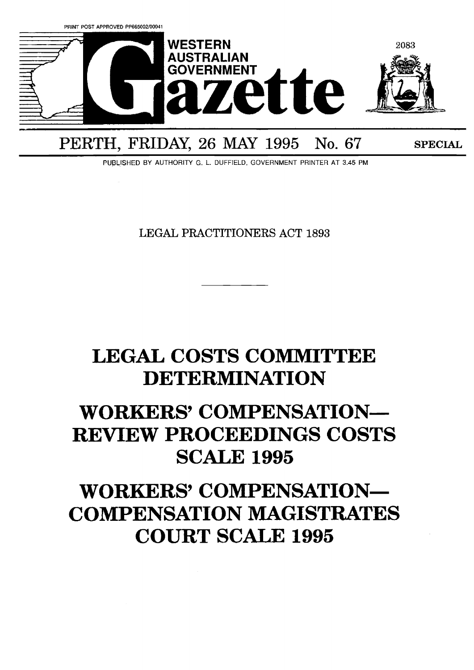

## PERTH, FRIDAY, 26 MAY 1995 No. 67 SPECIAL

PUBLISHED BY AUTHORITY G. L. DUFFIELD, GOVERNMENT PRINTER AT 3.45 PM

LEGAL PRACTITIONERS **ACT 1893** 

# **LEGAL COSTS COMMITTEE DETERMINATION**

# **WORKERS' COMPENSATION-REVIEW PROCEEDINGS COSTS SCALE 1995**

# **WORKERS' COMPENSATION-COMPENSATION MAGISTRATES COURT SCALE 1995**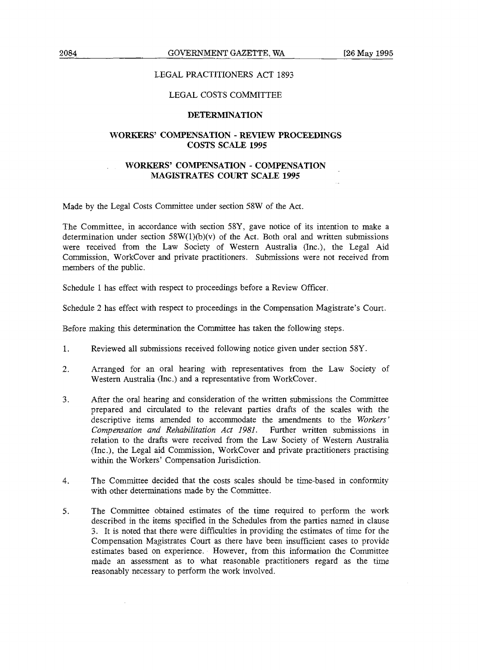#### LEGAL PRACTITIONERS ACT 1893

#### LEGAL COSTS COMMITTEE

#### **DETERMINATION**

#### **WORKERS' COMPENSATION** - **REVIEW PROCEEDINGS COSTS SCALE 1995**

### **WORKERS' COMPENSATION** - **COMPENSATION MAGISTRATES COURT SCALE 1995**

Made by the Legal Costs Committee under section 58W of the Act.

The Committee, in accordance with section 58Y, gave notice of its intention to make a determination under section  $58W(1)(b)(v)$  of the Act. Both oral and written submissions were received from the Law Society of Western Australia (Inc.), the Legal Aid Commission, WorkCover and private practitioners. Submissions were not received from members of the public.

Schedule 1 has effect with respect to proceedings before a Review Officer.

Schedule 2 has effect with respect to proceedings in the Compensation Magistrate's Court.

Before making this determination the Committee has taken the following steps.

- 1. Reviewed all submissions received following notice given under section 58Y
- *2.* Arranged for an oral hearing with representatives from the Law Society of Western Australia (Inc.) and a representative from WorkCover.
- *3.* After the oral hearing and consideration of the written submissions the Committee prepared and circulated to the relevant parties drafts of the scales with the descriptive items amended to accommodate the amendments to the *Workers' Compensation and Rehabilitation Act 1981.* Further written submissions in relation to the drafts were received from the Law Society of Western Australia (Inc.), the Legal aid Commission, WorkCover and private practitioners practising within the Workers' Compensation Jurisdiction.
- 4. The Committee decided that the costs scales should be time-based in conformity with other determinations made by the Committee.
- *5.* The Committee obtained estimates of the time required to perform the work described in the items specified in the Schedules from the parties named in clause 3. It is noted that there were difficulties in providing the estimates of time for the Compensation Magistrates Court as there have been insufficient cases to provide estimates based on experience. However, from this information the Committee made *an* assessment as to what reasonable practitioners regard as the time reasonably necessary to perform the work involved.

 $\bar{.}$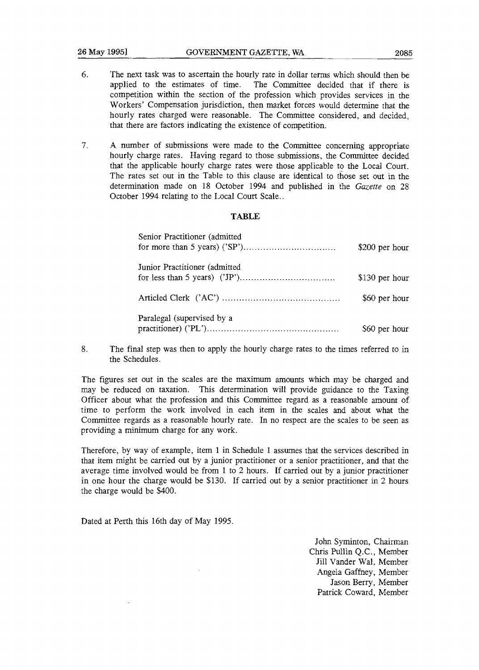- *6.* The next task was to ascertain the hourly rate in dollar terns which should then be applied to the estimates of time. The Committee decided that if there is competition within the section of the profession which provides services in the Workers' Compensation jurisdiction, then market forces would determine that the hourly rates charged were reasonable. The Committee considered, and decided, that there are factors indicating the existence of competition.
- 7. A number of submissions were made to the Committee concerning appropriate hourly charge rates. Having regard to those submissions, the Committee decided that the applicable hourly charge rates were those applicable to the Local Court. The rates set out in the Table to this clause are identical to those set out in the determination made on 18 October 1994 and published in the *Gazette* on 28 October 1994 relating to the Local Court Scale..

#### **TABLE**

| Senior Practitioner (admitted | \$200 per hour |
|-------------------------------|----------------|
| Junior Practitioner (admitted | \$130 per hour |
|                               | \$60 per hour  |
| Paralegal (supervised by a    | \$60 per hour  |

8. The final step was then to apply the hourly charge rates to the times referred to in the Schedules.

The figures set out in the scales are the maximum amounts which may be charged and may be reduced on taxation. This determination will provide guidance to the Taxing Officer about what the profession and this Committee regard as a reasonable amount of time to perform the work involved in each item in the scales and about what the Committee regards as a reasonable hourly rate. In no respect are the scales to be seen as providing a minimum charge for any work.

Therefore, by way of example, item 1 in Schedule 1 assumes that the services described in that item might be carried out by a junior practitioner or a senior practitioner, and that the average time involved would be from 1 to 2 hours. If carried out by a junior practitioner in one hour the charge would be \$130. If carried out by a senior practitioner in 2 hours the charge would be \$400.

Dated at Perth this 16th day of May 1995.

John Syminton, Chairman Chris Pullin Q.C., Member Jill Vander Wal. Member Angela Gaffhey, Member Jason Berry, Member Patrick Coward. Member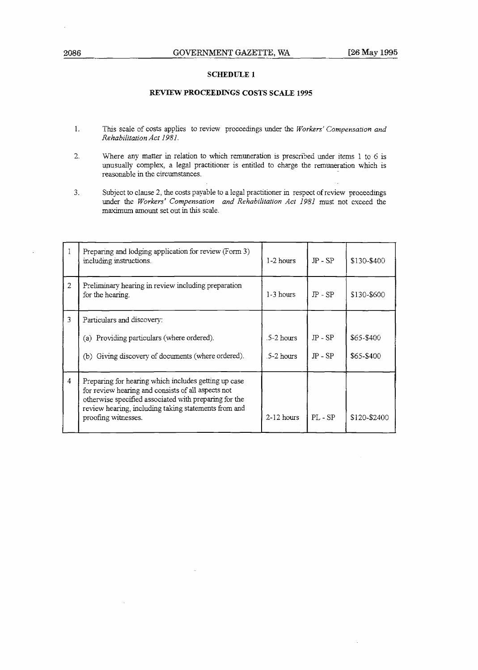#### **SCHEDULE 1**

#### **REVEW PROCEEDINGS COSTS SCALE 1995**

- 1. This scale of costs applies to review proceedings under the Workers' Compensation and *Rehabilitation Act 1981.*
- 2. Where any matter **in** relation to which remuneration is prescribed under items 1 to *6* is upusually complex, a legal practitioner is entitled to charge the remuneration whch is reasonable in the circumstances.
- 3. Subject to clause 2, the costs payable to a legal practitioner in respect of review proceedings under the Workers' Compensation and Rehabilitation Act 1981 must not exceed the maximum amount set out in this scale.

|                | Preparing and lodging application for review (Form 3)<br>including instructions.                                                                                                                                                                   | 1-2 hours                  | $IP$ - $SP$            | \$130-\$400              |
|----------------|----------------------------------------------------------------------------------------------------------------------------------------------------------------------------------------------------------------------------------------------------|----------------------------|------------------------|--------------------------|
| $\overline{2}$ | Preliminary hearing in review including preparation<br>for the hearing.                                                                                                                                                                            | $1-3$ hours                | $IP - SP$              | \$130-\$600              |
| 3              | Particulars and discovery:<br>(a) Providing particulars (where ordered).<br>(b) Giving discovery of documents (where ordered).                                                                                                                     | $.5-2$ hours<br>.5-2 hours | $JP - SP$<br>$JP - SP$ | \$65-\$400<br>\$65-\$400 |
| 4              | Preparing for hearing which includes getting up case<br>for review hearing and consists of all aspects not<br>otherwise specified associated with preparing for the<br>review hearing, including taking statements from and<br>proofing witnesses. | $2-12$ hours               | $PL - SP$              | \$120-\$2400             |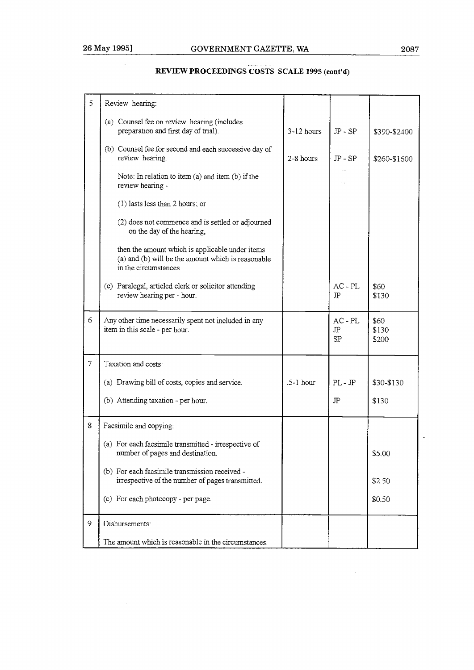$\bar{\beta}$ 

 $\sim$   $\sim$ 

| 5 | Review hearing:                                                                                                                |                |                         |                        |
|---|--------------------------------------------------------------------------------------------------------------------------------|----------------|-------------------------|------------------------|
|   | (a) Counsel fee on review hearing (includes<br>preparation and first day of trial).                                            | $3 - 12$ hours | $IP - SP$               | \$390-\$2400           |
|   | (b) Counsel fee for second and each successive day of<br>review hearing.                                                       | 2-8 hours      | $JP - SP$               | \$260-\$1600           |
|   | Note: In relation to item $(a)$ and item $(b)$ if the<br>review hearing -                                                      |                |                         |                        |
|   | (1) lasts less than 2 hours; or                                                                                                |                |                         |                        |
|   | (2) does not commence and is settled or adjourned<br>on the day of the hearing,                                                |                |                         |                        |
|   | then the amount which is applicable under items<br>(a) and (b) will be the amount which is reasonable<br>in the circumstances. |                |                         |                        |
|   | (c) Paralegal, articled clerk or solicitor attending<br>review hearing per - hour.                                             |                | $AC$ - $PL$<br>JP       | \$60<br>\$130          |
| 6 | Any other time necessarily spent not included in any<br>item in this scale - per hour.                                         |                | $AC$ - $PL$<br>JP<br>SP | \$60<br>\$130<br>\$200 |
| 7 | Taxation and costs:                                                                                                            |                |                         |                        |
|   | (a) Drawing bill of costs, copies and service.                                                                                 | $.5-1$ hour    | $PL - IP$               | \$30-\$130             |
|   | (b) Attending taxation - per hour.                                                                                             |                | JP                      | \$130                  |
| 8 | Facsimile and copying:                                                                                                         |                |                         |                        |
|   | (a) For each facsimile transmitted - irrespective of<br>number of pages and destination.                                       |                |                         | \$5.00                 |
|   | (b) For each facsimile transmission received -<br>irrespective of the number of pages transmitted.                             |                |                         | \$2.50                 |
|   | (c) For each photocopy - per page.                                                                                             |                |                         | \$0.50                 |
| 9 | Disbursements:                                                                                                                 |                |                         |                        |
|   | The amount which is reasonable in the circumstances.                                                                           |                |                         |                        |

### **REVIEW PROCEEDINGS COSTS SCALE 1995 (cont'd)**

 $\overline{\phantom{0}}$ 

 $\ddot{\phantom{0}}$ 

 $\sim 10^6$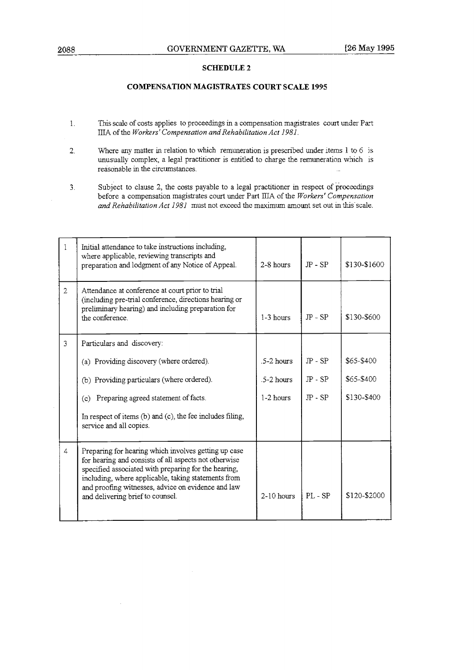#### **SCHEDULE 2**

#### **COMPENSATION MAGISTRATES COURT SCALE 1995**

- $1.$ This scale of costs applies to proceedings in a compensation magistrates court under Part IIZA of thc *Workers' Compensation and Rehabilitation Act 1981.*
- $\overline{2}$ . Where any matter in relation to which remuneration is prescribed under items **1** to 6 **js**  unusually complex, a legal practitioner is entitled to charge the remuneration which is reasonable in the circumstances.
- Subject to clause 2, the costs payable to a legal practitioner in respect of proceedings  $\overline{3}$ . before a compensation magistrates court under Part IIIA of the *Workers' Compensatron and Rehabilitation Act 1981* must not exceed thc maximum amount set out m this scale.

| $\mathbf{1}$   | Initial attendance to take instructions including,<br>where applicable, reviewing transcripts and<br>preparation and lodgment of any Notice of Appeal.                                                                                                                                                                 | 2-8 hours    | $IP$ - $SP$ | \$130-\$1600 |
|----------------|------------------------------------------------------------------------------------------------------------------------------------------------------------------------------------------------------------------------------------------------------------------------------------------------------------------------|--------------|-------------|--------------|
| $\mathfrak{D}$ | Attendance at conference at court prior to trial<br>(including pre-trial conference, directions hearing or<br>preliminary hearing) and including preparation for<br>the conference.                                                                                                                                    | $1-3$ hours  | $JP - SP$   | \$130-\$600  |
| $\mathcal{L}$  | Particulars and discovery:                                                                                                                                                                                                                                                                                             |              |             |              |
|                | (a) Providing discovery (where ordered).                                                                                                                                                                                                                                                                               | $.5-2$ hours | $JP - SP$   | \$65-\$400   |
|                | (b) Providing particulars (where ordered).                                                                                                                                                                                                                                                                             | $.5-2$ hours | $JP - SP$   | \$65-\$400   |
|                | Preparing agreed statement of facts.<br>(c)                                                                                                                                                                                                                                                                            | $1-2$ hours  | $IP$ - $SP$ | \$130-\$400  |
|                | In respect of items (b) and (c), the fee includes filing,<br>service and all copies.                                                                                                                                                                                                                                   |              |             |              |
| 4              | Preparing for hearing which involves getting up case<br>for hearing and consists of all aspects not otherwise<br>specified associated with preparing for the hearing,<br>including, where applicable, taking statements from<br>and proofing witnesses, advice on evidence and law<br>and delivering brief to counsel. | $2-10$ hours | $PL - SP$   | \$120-\$2000 |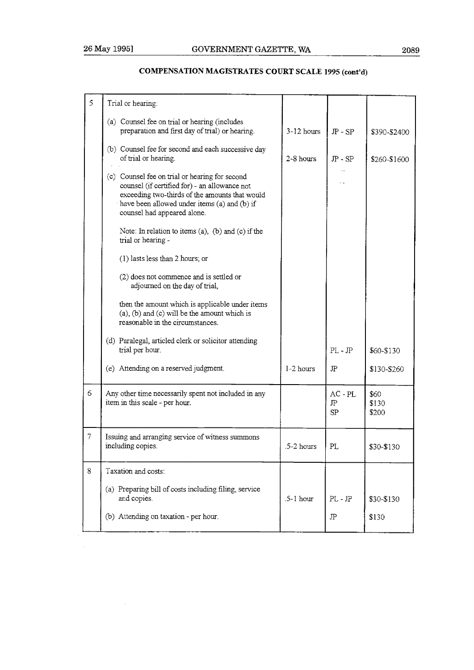$\bar{z}$ 

 $\sim 10$ 

| 5 | Trial or hearing:                                                                                                                                                                                                                |              |                         |                        |
|---|----------------------------------------------------------------------------------------------------------------------------------------------------------------------------------------------------------------------------------|--------------|-------------------------|------------------------|
|   | (a) Counsel fee on trial or hearing (includes<br>preparation and first day of trial) or hearing.                                                                                                                                 | $3-12$ hours | $JP - SP$               | \$390-\$2400           |
|   | (b) Counsel fee for second and each successive day<br>of trial or hearing.                                                                                                                                                       | 2-8 hours    | $JP - SP$               | \$260-\$1600           |
|   | (c) Counsel fee on trial or hearing for second<br>counsel (if certified for) - an allowance not<br>exceeding two-thirds of the amounts that would<br>have been allowed under items (a) and (b) if<br>counsel had appeared alone. |              |                         |                        |
|   | Note: In relation to items $(a)$ , $(b)$ and $(c)$ if the<br>trial or hearing -                                                                                                                                                  |              |                         |                        |
|   | (1) lasts less than 2 hours; or                                                                                                                                                                                                  |              |                         |                        |
|   | (2) does not commence and is settled or<br>adjourned on the day of trial,                                                                                                                                                        |              |                         |                        |
|   | then the amount which is applicable under items<br>$(a)$ , $(b)$ and $(c)$ will be the amount which is<br>reasonable in the circumstances.                                                                                       |              |                         |                        |
|   | (d) Paralegal, articled clerk or solicitor attending<br>trial per hour.                                                                                                                                                          |              | $PL - IP$               | \$60-\$130             |
|   | (e) Attending on a reserved judgment.                                                                                                                                                                                            | $1-2$ hours  | JP                      | \$130-\$260            |
| 6 | Any other time necessarily spent not included in any<br>item in this scale - per hour.                                                                                                                                           |              | $AC$ - $PL$<br>JP<br>SP | \$60<br>\$130<br>\$200 |
| 7 | Issuing and arranging service of witness summons<br>including copies.                                                                                                                                                            | $.5-2$ hours | PL                      | \$30-\$130             |
| 8 | Taxation and costs:                                                                                                                                                                                                              |              |                         |                        |
|   | (a) Preparing bill of costs including filing, service<br>and copies.                                                                                                                                                             | $.5-1$ hour  | $PL - JP$               | \$30-\$130             |
|   | (b) Attending on taxation - per hour.                                                                                                                                                                                            |              | ЛΡ                      | \$130                  |

### **COMPENSATION MAGISTRATES COURT SCALE 1995 (cont'd)**